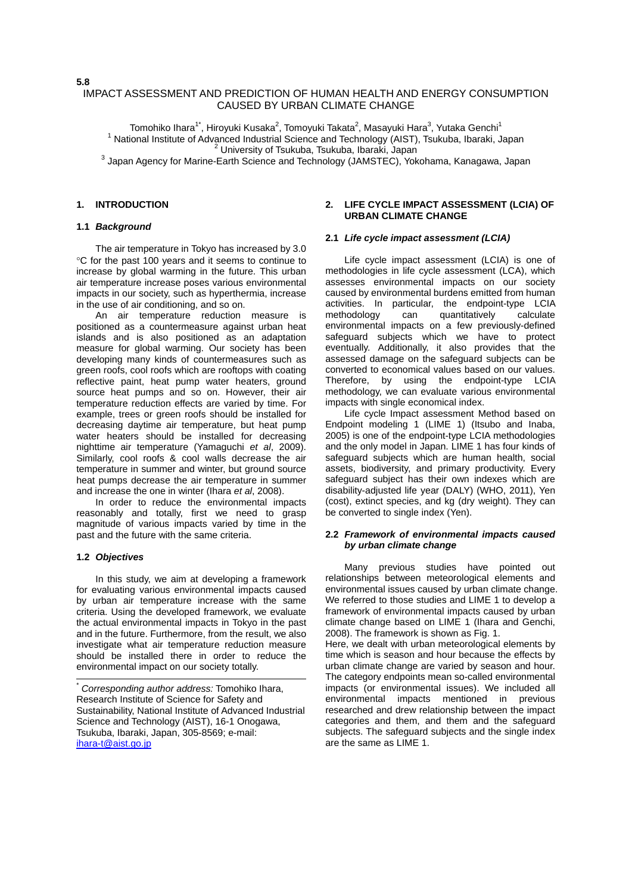# IMPACT ASSESSMENT AND PREDICTION OF HUMAN HEALTH AND ENERGY CONSUMPTION CAUSED BY URBAN CLIMATE CHANGE

Tomohiko Ihara<sup>1\*</sup>, Hiroyuki Kusaka<sup>2</sup>, Tomoyuki Takata<sup>2</sup>, Masayuki Hara<sup>3</sup>, Yutaka Genchi<sup>1</sup> <sup>1</sup> National Institute of Advanced Industrial Science and Technology (AIST), Tsukuba, Ibaraki, Japan University of Tsukuba, Tsukuba, Ibaraki, Japan 3 Japan Agency for Marine-Earth Science and Technology (JAMSTEC), Yokohama, Kanagawa, Japan

# **1. INTRODUCTION**

# **1.1** *Background*

The air temperature in Tokyo has increased by 3.0 C for the past 100 years and it seems to continue to increase by global warming in the future. This urban air temperature increase poses various environmental impacts in our society, such as hyperthermia, increase in the use of air conditioning, and so on.

An air temperature reduction measure is positioned as a countermeasure against urban heat islands and is also positioned as an adaptation measure for global warming. Our society has been developing many kinds of countermeasures such as green roofs, cool roofs which are rooftops with coating reflective paint, heat pump water heaters, ground source heat pumps and so on. However, their air temperature reduction effects are varied by time. For example, trees or green roofs should be installed for decreasing daytime air temperature, but heat pump water heaters should be installed for decreasing nighttime air temperature (Yamaguchi *et al*, 2009). Similarly, cool roofs & cool walls decrease the air temperature in summer and winter, but ground source heat pumps decrease the air temperature in summer and increase the one in winter (Ihara *et al*, 2008).

In order to reduce the environmental impacts reasonably and totally, first we need to grasp magnitude of various impacts varied by time in the past and the future with the same criteria.

#### **1.2** *Objectives*

-

In this study, we aim at developing a framework for evaluating various environmental impacts caused by urban air temperature increase with the same criteria. Using the developed framework, we evaluate the actual environmental impacts in Tokyo in the past and in the future. Furthermore, from the result, we also investigate what air temperature reduction measure should be installed there in order to reduce the environmental impact on our society totally.

## **2. LIFE CYCLE IMPACT ASSESSMENT (LCIA) OF URBAN CLIMATE CHANGE**

#### **2.1** *Life cycle impact assessment (LCIA)*

Life cycle impact assessment (LCIA) is one of methodologies in life cycle assessment (LCA), which assesses environmental impacts on our society caused by environmental burdens emitted from human activities. In particular, the endpoint-type LCIA methodology can quantitatively calculate environmental impacts on a few previously-defined safeguard subjects which we have to protect eventually. Additionally, it also provides that the assessed damage on the safeguard subjects can be converted to economical values based on our values. Therefore, by using the endpoint-type LCIA methodology, we can evaluate various environmental impacts with single economical index.

Life cycle Impact assessment Method based on Endpoint modeling 1 (LIME 1) (Itsubo and Inaba, 2005) is one of the endpoint-type LCIA methodologies and the only model in Japan. LIME 1 has four kinds of safeguard subjects which are human health, social assets, biodiversity, and primary productivity. Every safeguard subject has their own indexes which are disability-adjusted life year (DALY) (WHO, 2011), Yen (cost), extinct species, and kg (dry weight). They can be converted to single index (Yen).

## **2.2** *Framework of environmental impacts caused by urban climate change*

Many previous studies have pointed out relationships between meteorological elements and environmental issues caused by urban climate change. We referred to those studies and LIME 1 to develop a framework of environmental impacts caused by urban climate change based on LIME 1 (Ihara and Genchi, 2008). The framework is shown as Fig. 1.

Here, we dealt with urban meteorological elements by time which is season and hour because the effects by urban climate change are varied by season and hour. The category endpoints mean so-called environmental impacts (or environmental issues). We included all environmental impacts mentioned in previous researched and drew relationship between the impact categories and them, and them and the safeguard subjects. The safeguard subjects and the single index are the same as LIME 1.

**5.8** 

<sup>\*</sup> *Corresponding author address:* Tomohiko Ihara, Research Institute of Science for Safety and Sustainability, National Institute of Advanced Industrial Science and Technology (AIST), 16-1 Onogawa, Tsukuba, Ibaraki, Japan, 305-8569; e-mail: ihara-t@aist.go.jp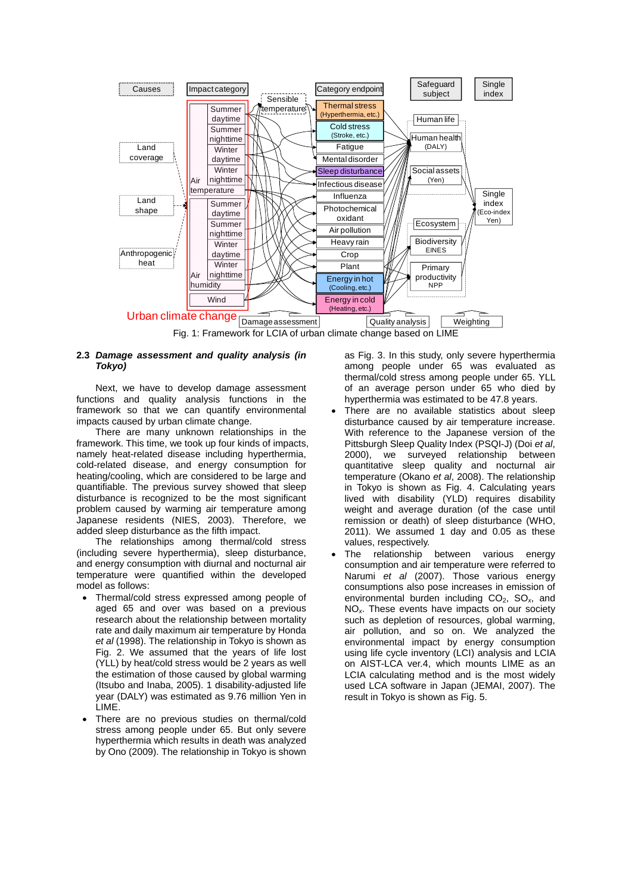

## **2.3** *Damage assessment and quality analysis (in Tokyo)*

Next, we have to develop damage assessment functions and quality analysis functions in the framework so that we can quantify environmental impacts caused by urban climate change.

There are many unknown relationships in the framework. This time, we took up four kinds of impacts, namely heat-related disease including hyperthermia, cold-related disease, and energy consumption for heating/cooling, which are considered to be large and quantifiable. The previous survey showed that sleep disturbance is recognized to be the most significant problem caused by warming air temperature among Japanese residents (NIES, 2003). Therefore, we added sleep disturbance as the fifth impact.

The relationships among thermal/cold stress (including severe hyperthermia), sleep disturbance, and energy consumption with diurnal and nocturnal air temperature were quantified within the developed model as follows:

- Thermal/cold stress expressed among people of aged 65 and over was based on a previous research about the relationship between mortality rate and daily maximum air temperature by Honda *et al* (1998). The relationship in Tokyo is shown as Fig. 2. We assumed that the years of life lost (YLL) by heat/cold stress would be 2 years as well the estimation of those caused by global warming (Itsubo and Inaba, 2005). 1 disability-adjusted life year (DALY) was estimated as 9.76 million Yen in LIME.
- There are no previous studies on thermal/cold stress among people under 65. But only severe hyperthermia which results in death was analyzed by Ono (2009). The relationship in Tokyo is shown

as Fig. 3. In this study, only severe hyperthermia among people under 65 was evaluated as thermal/cold stress among people under 65. YLL of an average person under 65 who died by hyperthermia was estimated to be 47.8 years.

- There are no available statistics about sleep disturbance caused by air temperature increase. With reference to the Japanese version of the Pittsburgh Sleep Quality Index (PSQI-J) (Doi *et al*, 2000), we surveyed relationship between quantitative sleep quality and nocturnal air temperature (Okano *et al*, 2008). The relationship in Tokyo is shown as Fig. 4. Calculating years lived with disability (YLD) requires disability weight and average duration (of the case until remission or death) of sleep disturbance (WHO, 2011). We assumed 1 day and 0.05 as these values, respectively.
- The relationship between various energy consumption and air temperature were referred to Narumi *et al* (2007). Those various energy consumptions also pose increases in emission of environmental burden including CO2, SO*x*, and NO*x*. These events have impacts on our society such as depletion of resources, global warming, air pollution, and so on. We analyzed the environmental impact by energy consumption using life cycle inventory (LCI) analysis and LCIA on AIST-LCA ver.4, which mounts LIME as an LCIA calculating method and is the most widely used LCA software in Japan (JEMAI, 2007). The result in Tokyo is shown as Fig. 5.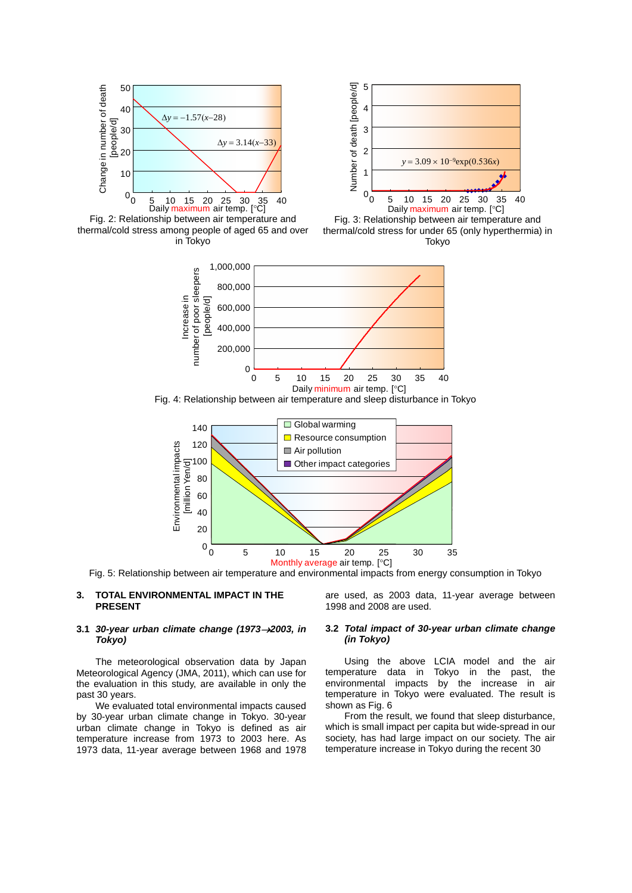









Fig. 4: Relationship between air temperature and sleep disturbance in Tokyo



Fig. 5: Relationship between air temperature and environmental impacts from energy consumption in Tokyo

## **3. TOTAL ENVIRONMENTAL IMPACT IN THE PRESENT**

## **3.1** *30-year urban climate change (19732003, in Tokyo)*

The meteorological observation data by Japan Meteorological Agency (JMA, 2011), which can use for the evaluation in this study, are available in only the past 30 years.

We evaluated total environmental impacts caused by 30-year urban climate change in Tokyo. 30-year urban climate change in Tokyo is defined as air temperature increase from 1973 to 2003 here. As 1973 data, 11-year average between 1968 and 1978 are used, as 2003 data, 11-year average between 1998 and 2008 are used.

### **3.2** *Total impact of 30-year urban climate change (in Tokyo)*

Using the above LCIA model and the air temperature data in Tokyo in the past, the environmental impacts by the increase in air temperature in Tokyo were evaluated. The result is shown as Fig. 6

From the result, we found that sleep disturbance, which is small impact per capita but wide-spread in our society, has had large impact on our society. The air temperature increase in Tokyo during the recent 30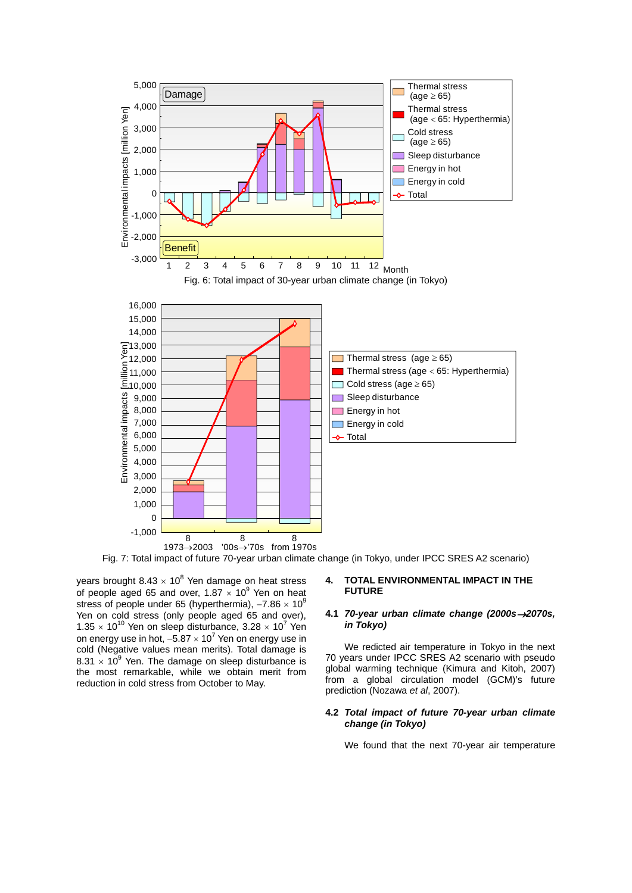

Fig. 7: Total impact of future 70-year urban climate change (in Tokyo, under IPCC SRES A2 scenario)

years brought 8.43  $\times$  10<sup>8</sup> Yen damage on heat stress of people aged 65 and over, 1.87  $\times$  10<sup>9</sup> Yen on heat stress of people under 65 (hyperthermia),  $-7.86 \times 10^9$ Yen on cold stress (only people aged 65 and over), 1.35  $\times$  10<sup>10</sup> Yen on sleep disturbance, 3.28  $\times$  10<sup>7</sup> Yen on energy use in hot,  $-5.87 \times 10^7$  Yen on energy use in cold (Negative values mean merits). Total damage is 8.31  $\times$  10<sup>9</sup> Yen. The damage on sleep disturbance is the most remarkable, while we obtain merit from reduction in cold stress from October to May.

### **4. TOTAL ENVIRONMENTAL IMPACT IN THE FUTURE**

# **4.1 70-year urban climate change (2000s→2070s,** *in Tokyo)*

We redicted air temperature in Tokyo in the next 70 years under IPCC SRES A2 scenario with pseudo global warming technique (Kimura and Kitoh, 2007) from a global circulation model (GCM)'s future prediction (Nozawa *et al*, 2007).

## **4.2** *Total impact of future 70-year urban climate change (in Tokyo)*

We found that the next 70-year air temperature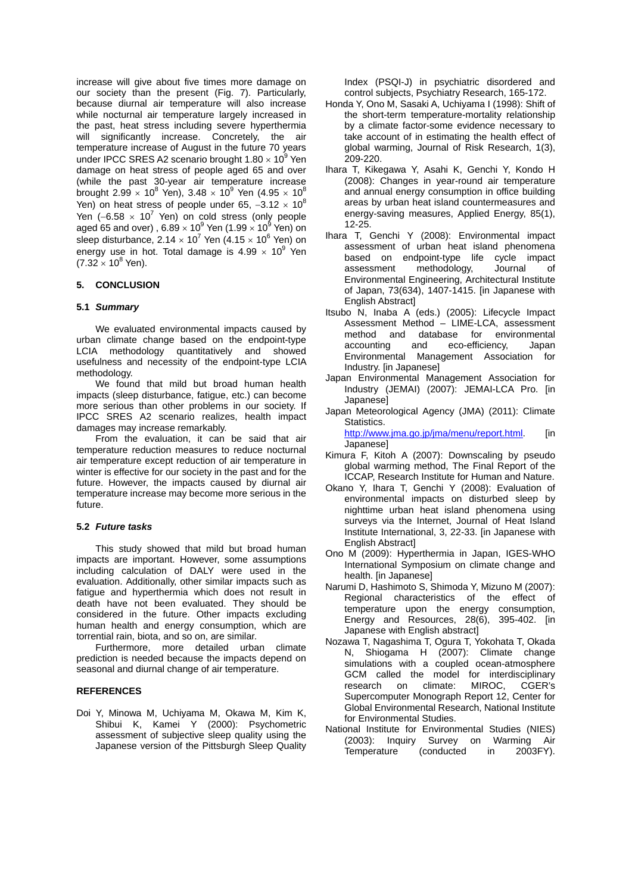increase will give about five times more damage on our society than the present (Fig. 7). Particularly, because diurnal air temperature will also increase while nocturnal air temperature largely increased in the past, heat stress including severe hyperthermia will significantly increase. Concretely, the air temperature increase of August in the future 70 years under IPCC SRES A2 scenario brought  $1.80 \times 10^9$  Yen damage on heat stress of people aged 65 and over (while the past 30-year air temperature increase brought 2.99  $\times$  10<sup>8</sup> Yen), 3.48  $\times$  10<sup>9</sup> Yen (4.95  $\times$  10<sup>8</sup> Yen) on heat stress of people under 65,  $-3.12 \times 10^8$ Yen (-6.58  $\times$  10<sup>7</sup> Yen) on cold stress (only people aged 65 and over) , 6.89  $\times$  10 $^9$  Yen (1.99  $\times$  10 $^9$  Yen) on sleep disturbance, 2.14  $\times$  10<sup>7</sup> Yen (4.15  $\times$  10<sup>6</sup> Yen) on energy use in hot. Total damage is 4.99  $\times$  10<sup>9</sup> Yen  $(7.32 \times 10^8 \text{ Yen}).$ 

# **5. CONCLUSION**

## **5.1** *Summary*

We evaluated environmental impacts caused by urban climate change based on the endpoint-type LCIA methodology quantitatively and showed usefulness and necessity of the endpoint-type LCIA methodology.

We found that mild but broad human health impacts (sleep disturbance, fatigue, etc.) can become more serious than other problems in our society. If IPCC SRES A2 scenario realizes, health impact damages may increase remarkably.

From the evaluation, it can be said that air temperature reduction measures to reduce nocturnal air temperature except reduction of air temperature in winter is effective for our society in the past and for the future. However, the impacts caused by diurnal air temperature increase may become more serious in the future.

#### **5.2** *Future tasks*

This study showed that mild but broad human impacts are important. However, some assumptions including calculation of DALY were used in the evaluation. Additionally, other similar impacts such as fatigue and hyperthermia which does not result in death have not been evaluated. They should be considered in the future. Other impacts excluding human health and energy consumption, which are torrential rain, biota, and so on, are similar.

Furthermore, more detailed urban climate prediction is needed because the impacts depend on seasonal and diurnal change of air temperature.

#### **REFERENCES**

Doi Y, Minowa M, Uchiyama M, Okawa M, Kim K, Shibui K, Kamei Y (2000): Psychometric assessment of subjective sleep quality using the Japanese version of the Pittsburgh Sleep Quality

Index (PSQI-J) in psychiatric disordered and control subjects, Psychiatry Research, 165-172.

- Honda Y, Ono M, Sasaki A, Uchiyama I (1998): Shift of the short-term temperature-mortality relationship by a climate factor-some evidence necessary to take account of in estimating the health effect of global warming, Journal of Risk Research, 1(3), 209-220.
- Ihara T, Kikegawa Y, Asahi K, Genchi Y, Kondo H (2008): Changes in year-round air temperature and annual energy consumption in office building areas by urban heat island countermeasures and energy-saving measures, Applied Energy, 85(1), 12-25.
- Ihara T, Genchi Y (2008): Environmental impact assessment of urban heat island phenomena based on endpoint-type life cycle impact assessment methodology, Journal of Environmental Engineering, Architectural Institute of Japan, 73(634), 1407-1415. [in Japanese with English Abstract]
- Itsubo N, Inaba A (eds.) (2005): Lifecycle Impact Assessment Method – LIME-LCA, assessment method and database for environmental accounting and eco-efficiency, Japan Environmental Management Association for Industry. [in Japanese]
- Japan Environmental Management Association for Industry (JEMAI) (2007): JEMAI-LCA Pro. [in Japanese]
- Japan Meteorological Agency (JMA) (2011): Climate Statistics.

http://www.jma.go.jp/jma/menu/report.html. [in Japanese]

- Kimura F, Kitoh A (2007): Downscaling by pseudo global warming method, The Final Report of the ICCAP, Research Institute for Human and Nature.
- Okano Y, Ihara T, Genchi Y (2008): Evaluation of environmental impacts on disturbed sleep by nighttime urban heat island phenomena using surveys via the Internet, Journal of Heat Island Institute International, 3, 22-33. [in Japanese with English Abstract]
- Ono M (2009): Hyperthermia in Japan, IGES-WHO International Symposium on climate change and health. [in Japanese]
- Narumi D, Hashimoto S, Shimoda Y, Mizuno M (2007): Regional characteristics of the effect of temperature upon the energy consumption, Energy and Resources, 28(6), 395-402. [in Japanese with English abstract]
- Nozawa T, Nagashima T, Ogura T, Yokohata T, Okada N, Shiogama H (2007): Climate change simulations with a coupled ocean-atmosphere GCM called the model for interdisciplinary research on climate: MIROC, CGER's Supercomputer Monograph Report 12, Center for Global Environmental Research, National Institute for Environmental Studies.
- National Institute for Environmental Studies (NIES) (2003): Inquiry Survey on Warming Air Temperature (conducted in 2003FY).